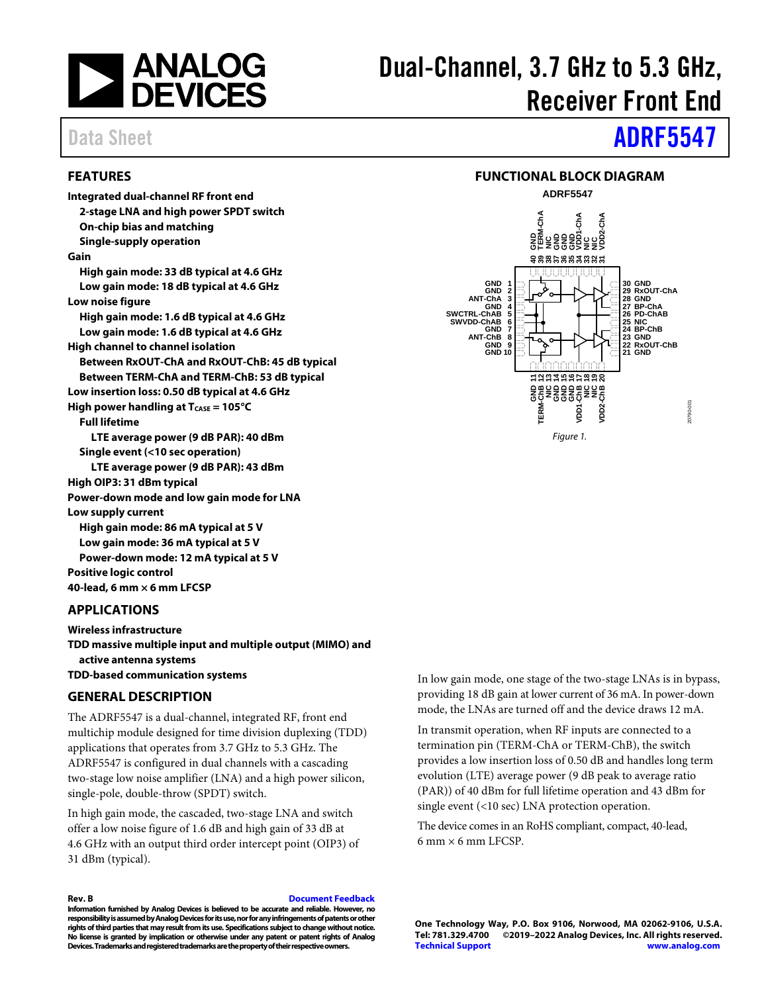

# Dual-Channel, 3.7 GHz to 5.3 GHz, Receiver Front End

# Data Sheet **[ADRF5547](http://www.analog.com/adrf5547)**

#### <span id="page-0-0"></span>**FEATURES**

**Integrated dual-channel RF front end 2-stage LNA and high power SPDT switch On-chip bias and matching Single-supply operation Gain High gain mode: 33 dB typical at 4.6 GHz Low gain mode: 18 dB typical at 4.6 GHz Low noise figure High gain mode: 1.6 dB typical at 4.6 GHz Low gain mode: 1.6 dB typical at 4.6 GHz High channel to channel isolation Between RxOUT-ChA and RxOUT-ChB: 45 dB typical Between TERM-ChA and TERM-ChB: 53 dB typical Low insertion loss: 0.50 dB typical at 4.6 GHz High power handling at T<sub>CASE</sub> = 105°C Full lifetime LTE average power (9 dB PAR): 40 dBm Single event (<10 sec operation) LTE average power (9 dB PAR): 43 dBm High OIP3: 31 dBm typical Power-down mode and low gain mode for LNA Low supply current High gain mode: 86 mA typical at 5 V Low gain mode: 36 mA typical at 5 V Power-down mode: 12 mA typical at 5 V Positive logic control** 

**40-lead, 6 mm × 6 mm LFCSP**

#### <span id="page-0-1"></span>**APPLICATIONS**

**Wireless infrastructure TDD massive multiple input and multiple output (MIMO) and active antenna systems TDD-based communication systems**

#### <span id="page-0-2"></span>**GENERAL DESCRIPTION**

The ADRF5547 is a dual-channel, integrated RF, front end multichip module designed for time division duplexing (TDD) applications that operates from 3.7 GHz to 5.3 GHz. The ADRF5547 is configured in dual channels with a cascading two-stage low noise amplifier (LNA) and a high power silicon, single-pole, double-throw (SPDT) switch.

In high gain mode, the cascaded, two-stage LNA and switch offer a low noise figure of 1.6 dB and high gain of 33 dB at 4.6 GHz with an output third order intercept point (OIP3) of 31 dBm (typical).

**Rev. B [Document Feedback](https://form.analog.com/Form_Pages/feedback/documentfeedback.aspx?doc=ADRF5547.pdf&product=ADRF5547&rev=B)**

**Information furnished by Analog Devices is believed to be accurate and reliable. However, no responsibility is assumed by Analog Devices for its use, nor for any infringements of patents or other rights of third parties that may result from its use. Specifications subject to change without notice. No license is granted by implication or otherwise under any patent or patent rights of Analog Devices. Trademarks and registered trademarks are the property of their respective owners.**

<span id="page-0-3"></span>

In low gain mode, one stage of the two-stage LNAs is in bypass, providing 18 dB gain at lower current of 36 mA. In power-down mode, the LNAs are turned off and the device draws 12 mA.

In transmit operation, when RF inputs are connected to a termination pin (TERM-ChA or TERM-ChB), the switch provides a low insertion loss of 0.50 dB and handles long term evolution (LTE) average power (9 dB peak to average ratio (PAR)) of 40 dBm for full lifetime operation and 43 dBm for single event (<10 sec) LNA protection operation.

The device comes in an RoHS compliant, compact, 40-lead,  $6 \text{ mm} \times 6 \text{ mm}$  LFCSP.

**One Technology Way, P.O. Box 9106, Norwood, MA 02062-9106, U.S.A. Tel: 781.329.4700 ©2019–2022 Analog Devices, Inc. All rights reserved. [Technical Support](http://www.analog.com/en/content/technical_support_page/fca.html) [www.analog.com](http://www.analog.com/)**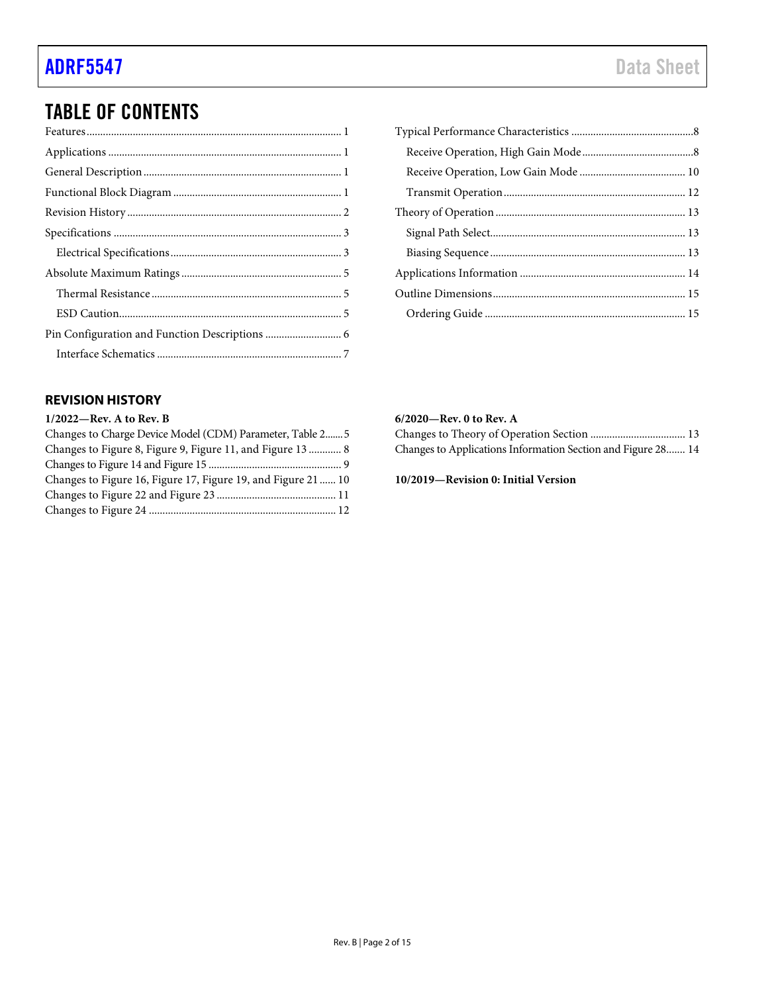## TABLE OF CONTENTS

### <span id="page-1-0"></span>**REVISION HISTORY**

#### **1/2022—Rev. A to Rev. B**

| Changes to Charge Device Model (CDM) Parameter, Table 2 5     |  |
|---------------------------------------------------------------|--|
| Changes to Figure 8, Figure 9, Figure 11, and Figure 13  8    |  |
|                                                               |  |
| Changes to Figure 16, Figure 17, Figure 19, and Figure 21  10 |  |
|                                                               |  |
|                                                               |  |

#### **6/2020—Rev. 0 to Rev. A**

| Changes to Applications Information Section and Figure 28 14 |  |
|--------------------------------------------------------------|--|

**10/2019—Revision 0: Initial Version**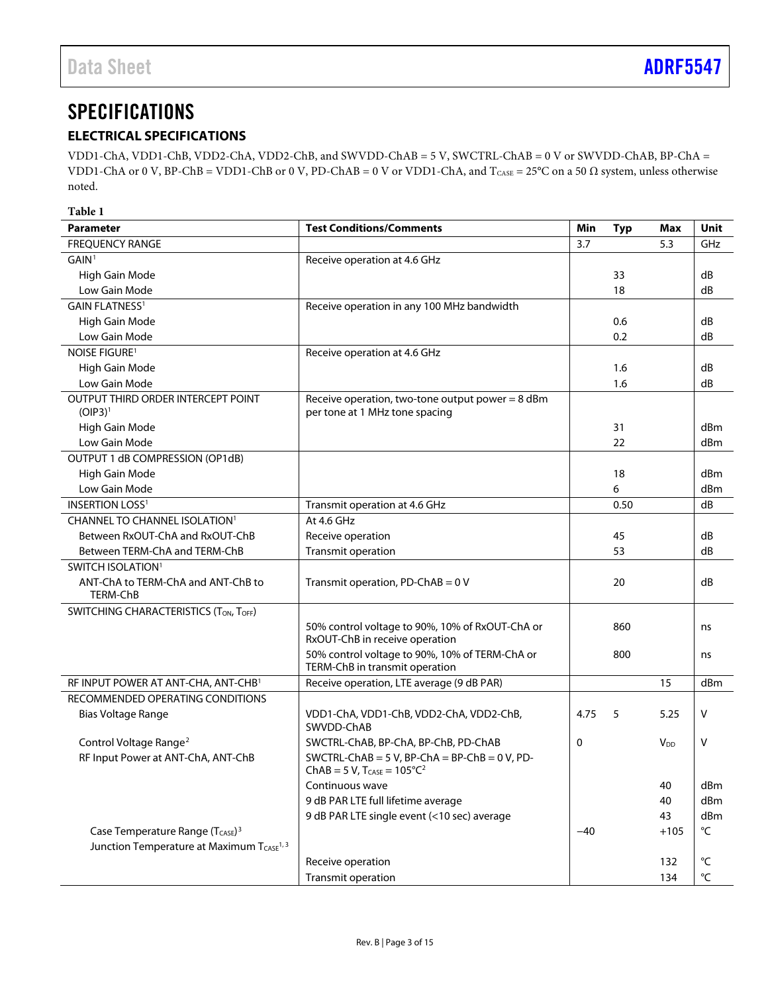### <span id="page-2-0"></span>**SPECIFICATIONS**

### <span id="page-2-1"></span>**ELECTRICAL SPECIFICATIONS**

VDD1-ChA, VDD1-ChB, VDD2-ChA, VDD2-ChB, and SWVDD-ChAB = 5 V, SWCTRL-ChAB = 0 V or SWVDD-ChAB, BP-ChA = VDD1-ChA or 0 V, BP-ChB = VDD1-ChB or 0 V, PD-ChAB = 0 V or VDD1-ChA, and  $T_{CASE} = 25^{\circ}C$  on a 50  $\Omega$  system, unless otherwise noted.

<span id="page-2-4"></span><span id="page-2-3"></span><span id="page-2-2"></span>

| Table 1                                               |                                                                                      |       |            |                        |                   |
|-------------------------------------------------------|--------------------------------------------------------------------------------------|-------|------------|------------------------|-------------------|
| <b>Parameter</b>                                      | <b>Test Conditions/Comments</b>                                                      | Min   | <b>Typ</b> | <b>Max</b>             | Unit              |
| <b>FREQUENCY RANGE</b>                                |                                                                                      | 3.7   |            | 5.3                    | GHz               |
| GAIN <sup>1</sup>                                     | Receive operation at 4.6 GHz                                                         |       |            |                        |                   |
| High Gain Mode                                        |                                                                                      |       | 33         |                        | dB                |
| Low Gain Mode                                         |                                                                                      |       | 18         |                        | dB                |
| <b>GAIN FLATNESS1</b>                                 | Receive operation in any 100 MHz bandwidth                                           |       |            |                        |                   |
| High Gain Mode                                        |                                                                                      |       | 0.6        |                        | dB                |
| Low Gain Mode                                         |                                                                                      |       | 0.2        |                        | dB                |
| <b>NOISE FIGURE<sup>1</sup></b>                       | Receive operation at 4.6 GHz                                                         |       |            |                        |                   |
| High Gain Mode                                        |                                                                                      |       | 1.6        |                        | dB                |
| Low Gain Mode                                         |                                                                                      |       | 1.6        |                        | dB                |
| OUTPUT THIRD ORDER INTERCEPT POINT<br>$(OIP3)^1$      | Receive operation, two-tone output power = $8$ dBm<br>per tone at 1 MHz tone spacing |       |            |                        |                   |
| High Gain Mode                                        |                                                                                      |       | 31         |                        | dBm               |
| Low Gain Mode                                         |                                                                                      |       | 22         |                        | dBm               |
| OUTPUT 1 dB COMPRESSION (OP1dB)                       |                                                                                      |       |            |                        |                   |
| High Gain Mode                                        |                                                                                      |       | 18         |                        | dBm               |
| Low Gain Mode                                         |                                                                                      |       | 6          |                        | dBm               |
| <b>INSERTION LOSS<sup>1</sup></b>                     | Transmit operation at 4.6 GHz                                                        |       | 0.50       |                        | dB                |
| CHANNEL TO CHANNEL ISOLATION <sup>1</sup>             | At 4.6 GHz                                                                           |       |            |                        |                   |
| Between RxOUT-ChA and RxOUT-ChB                       | Receive operation                                                                    |       | 45         |                        | dB                |
| Between TERM-ChA and TERM-ChB                         | Transmit operation                                                                   |       | 53         |                        | dB                |
| SWITCH ISOLATION <sup>1</sup>                         |                                                                                      |       |            |                        |                   |
| ANT-ChA to TERM-ChA and ANT-ChB to<br>TERM-ChB        | Transmit operation, PD-ChAB = $0$ V                                                  |       | 20         |                        | dB                |
| SWITCHING CHARACTERISTICS (TON, TOFF)                 |                                                                                      |       |            |                        |                   |
|                                                       | 50% control voltage to 90%, 10% of RxOUT-ChA or<br>RxOUT-ChB in receive operation    |       | 860        |                        | ns                |
|                                                       | 50% control voltage to 90%, 10% of TERM-ChA or<br>TERM-ChB in transmit operation     |       | 800        |                        | ns                |
| RF INPUT POWER AT ANT-CHA, ANT-CHB <sup>1</sup>       | Receive operation, LTE average (9 dB PAR)                                            |       |            | 15                     | dBm               |
| RECOMMENDED OPERATING CONDITIONS                      |                                                                                      |       |            |                        |                   |
| Bias Voltage Range                                    | VDD1-ChA, VDD1-ChB, VDD2-ChA, VDD2-ChB,<br>SWVDD-ChAB                                | 4.75  | 5          | 5.25                   | V                 |
| Control Voltage Range <sup>2</sup>                    | SWCTRL-ChAB, BP-ChA, BP-ChB, PD-ChAB                                                 | 0     |            | <b>V</b> <sub>DD</sub> | V                 |
| RF Input Power at ANT-ChA, ANT-ChB                    | SWCTRL-ChAB = 5 V, BP-ChA = BP-ChB = 0 V, PD-<br>$ChAB = 5 V$ , $T_{CASE} = 105°C2$  |       |            |                        |                   |
|                                                       | Continuous wave                                                                      |       |            | 40                     | dBm               |
|                                                       | 9 dB PAR LTE full lifetime average                                                   |       |            | 40                     | dBm               |
|                                                       | 9 dB PAR LTE single event (<10 sec) average                                          |       |            | 43                     | dBm               |
| Case Temperature Range (TCASE) <sup>3</sup>           |                                                                                      | $-40$ |            | $+105$                 | $^{\circ}{\sf C}$ |
| Junction Temperature at Maximum TCASE <sup>1, 3</sup> |                                                                                      |       |            |                        |                   |
|                                                       | Receive operation                                                                    |       |            | 132                    | $^{\circ}$ C      |
|                                                       | Transmit operation                                                                   |       |            | 134                    | $^{\circ}{\sf C}$ |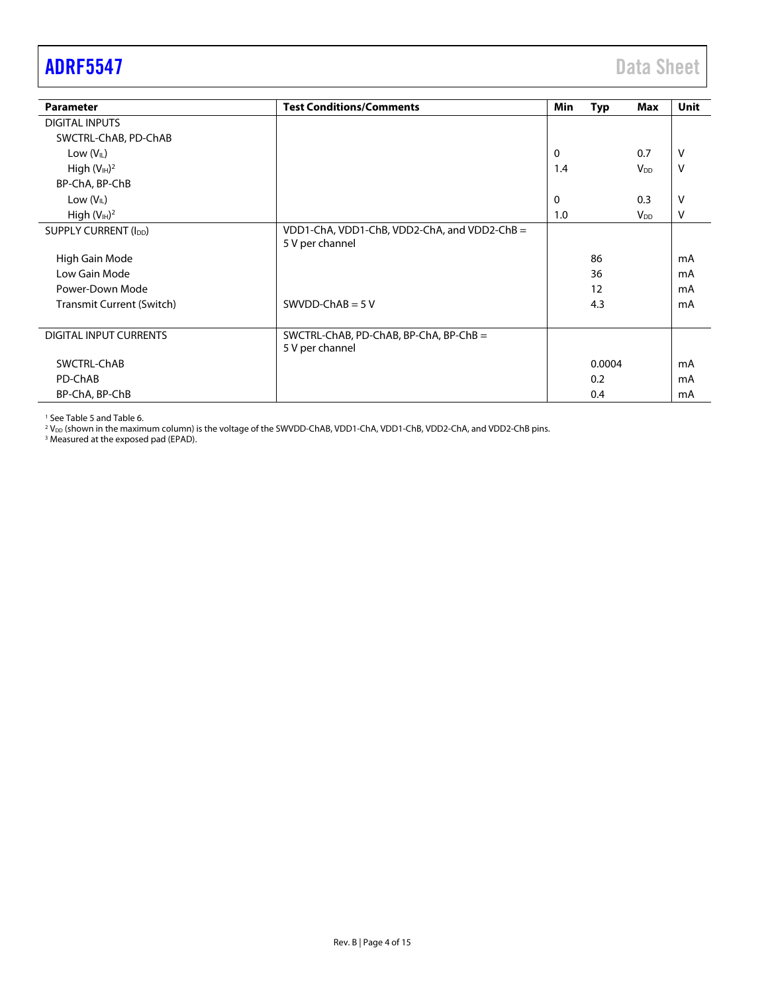<span id="page-3-0"></span>

| <b>ADRF5547</b> | <b>Data Sheet</b> |
|-----------------|-------------------|
|                 |                   |

| <b>Parameter</b>                  | <b>Test Conditions/Comments</b>              | Min | <b>Typ</b> | Max                    | <b>Unit</b> |
|-----------------------------------|----------------------------------------------|-----|------------|------------------------|-------------|
| <b>DIGITAL INPUTS</b>             |                                              |     |            |                        |             |
| SWCTRL-ChAB, PD-ChAB              |                                              |     |            |                        |             |
| Low $(V_{IL})$                    |                                              | 0   |            | 0.7                    | v           |
| High $(V_{\mathbb{H}})^2$         |                                              | 1.4 |            | $V_{DD}$               | v           |
| BP-ChA, BP-ChB                    |                                              |     |            |                        |             |
| Low $(V_{IL})$                    |                                              | 0   |            | 0.3                    | v           |
| High $(VIH)2$                     |                                              | 1.0 |            | <b>V</b> <sub>DD</sub> | v           |
| SUPPLY CURRENT (I <sub>DD</sub> ) | VDD1-ChA, VDD1-ChB, VDD2-ChA, and VDD2-ChB = |     |            |                        |             |
|                                   | 5 V per channel                              |     |            |                        |             |
| High Gain Mode                    |                                              |     | 86         |                        | mA          |
| Low Gain Mode                     |                                              |     | 36         |                        | mA          |
| Power-Down Mode                   |                                              |     | 12         |                        | mA          |
| Transmit Current (Switch)         | SWVDD-ChAB = $5V$                            |     | 4.3        |                        | mA          |
|                                   |                                              |     |            |                        |             |
| DIGITAL INPUT CURRENTS            | SWCTRL-ChAB, PD-ChAB, BP-ChA, BP-ChB =       |     |            |                        |             |
|                                   | 5 V per channel                              |     |            |                        |             |
| SWCTRL-ChAB                       |                                              |     | 0.0004     |                        | mA          |
| PD-ChAB                           |                                              |     | 0.2        |                        | mA          |
| BP-ChA, BP-ChB                    |                                              |     | 0.4        |                        | mA          |

<sup>1</sup> Se[e Table 5](#page-12-3) an[d Table 6.](#page-12-4)

 $^2$  V<sub>DD</sub> (shown in the maximum column) is the voltage of the SWVDD-ChAB, VDD1-ChA, VDD1-ChB, VDD2-ChA, and VDD2-ChB pins.

<sup>3</sup> Measured at the exposed pad (EPAD).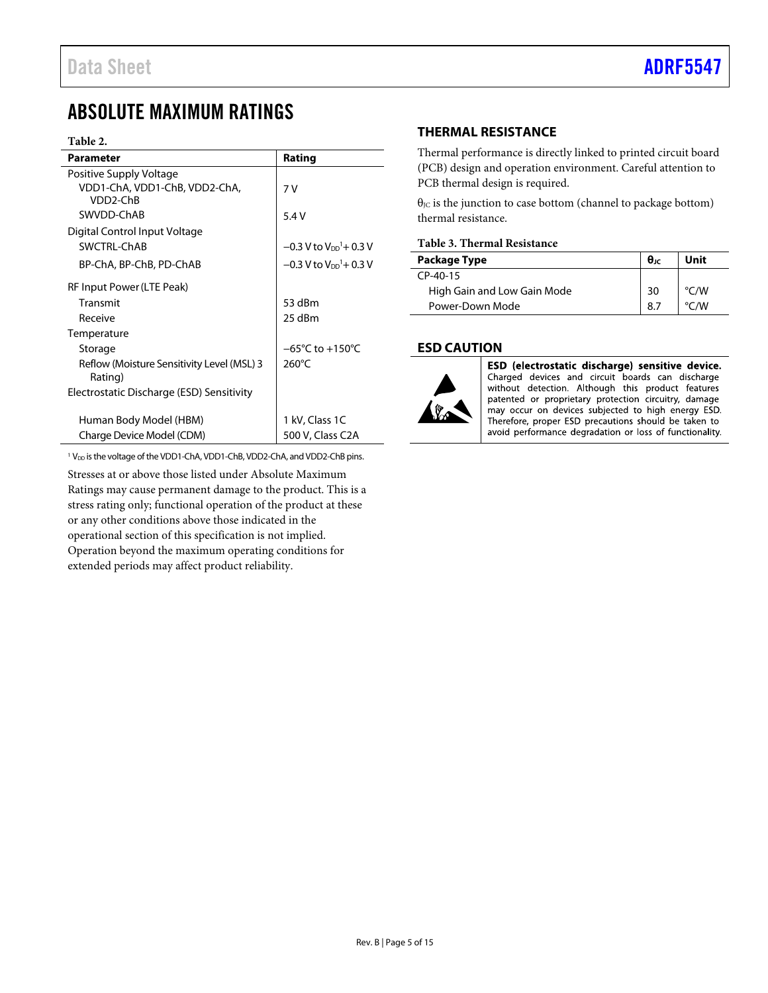### <span id="page-4-0"></span>ABSOLUTE MAXIMUM RATINGS

#### **Table 2.**

| <b>Parameter</b>                                      | Rating                                           |
|-------------------------------------------------------|--------------------------------------------------|
| Positive Supply Voltage                               |                                                  |
| VDD1-ChA, VDD1-ChB, VDD2-ChA,                         | 7 V                                              |
| VDD2-ChB                                              |                                                  |
| SWVDD-ChAB                                            | 5.4V                                             |
| Digital Control Input Voltage                         |                                                  |
| SWCTRL-ChAB                                           | $-0.3$ V to V <sub>DD</sub> <sup>1</sup> + 0.3 V |
| BP-ChA, BP-ChB, PD-ChAB                               | $-0.3$ V to V <sub>DD</sub> <sup>1</sup> + 0.3 V |
| RF Input Power (LTE Peak)                             |                                                  |
| Transmit                                              | 53 dBm                                           |
| Receive                                               | 25 dBm                                           |
| Temperature                                           |                                                  |
| Storage                                               | $-65^{\circ}$ C to $+150^{\circ}$ C              |
| Reflow (Moisture Sensitivity Level (MSL) 3<br>Rating) | $260^{\circ}$ C                                  |
| Electrostatic Discharge (ESD) Sensitivity             |                                                  |
| Human Body Model (HBM)                                | 1 kV, Class 1C                                   |
| Charge Device Model (CDM)                             | 500 V, Class C2A                                 |

<span id="page-4-5"></span><span id="page-4-4"></span><span id="page-4-3"></span><sup>1</sup> V<sub>DD</sub> is the voltage of the VDD1-ChA, VDD1-ChB, VDD2-ChA, and VDD2-ChB pins.

Stresses at or above those listed under Absolute Maximum Ratings may cause permanent damage to the product. This is a stress rating only; functional operation of the product at these or any other conditions above those indicated in the operational section of this specification is not implied. Operation beyond the maximum operating conditions for extended periods may affect product reliability.

#### <span id="page-4-1"></span>**THERMAL RESISTANCE**

Thermal performance is directly linked to printed circuit board (PCB) design and operation environment. Careful attention to PCB thermal design is required.

 $\theta$ <sub>JC</sub> is the junction to case bottom (channel to package bottom) thermal resistance.

#### **Table 3. Thermal Resistance**

| Package Type                | $\theta$ ıc | Unit               |
|-----------------------------|-------------|--------------------|
| $CP-40-15$                  |             |                    |
| High Gain and Low Gain Mode | 30          | $\rm ^{\circ}$ C/W |
| Power-Down Mode             | 8.          | $\rm ^{\circ}$ C/W |

#### <span id="page-4-2"></span>**ESD CAUTION**



ESD (electrostatic discharge) sensitive device. Charged devices and circuit boards can discharge without detection. Although this product features patented or proprietary protection circuitry, damage may occur on devices subjected to high energy ESD. Therefore, proper ESD precautions should be taken to avoid performance degradation or loss of functionality.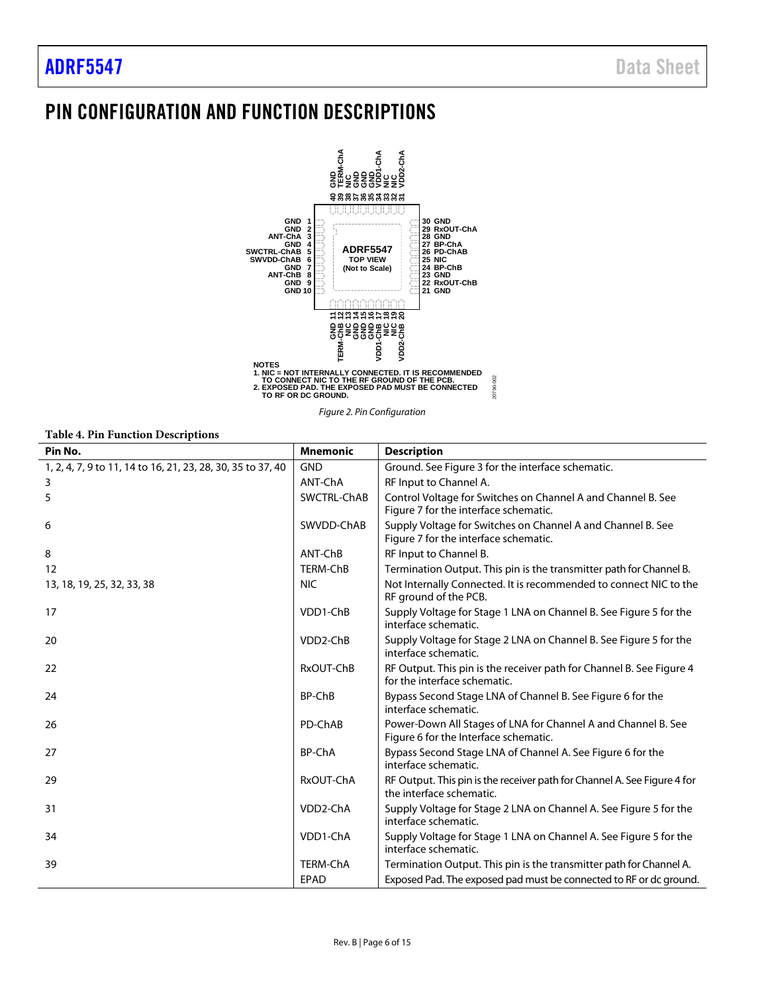## <span id="page-5-0"></span>PIN CONFIGURATION AND FUNCTION DESCRIPTIONS



*Figure 2. Pin Configuration*

#### **Table 4. Pin Function Descriptions**

| Pin No.                                                     | <b>Mnemonic</b>       | <b>Description</b>                                                                                     |
|-------------------------------------------------------------|-----------------------|--------------------------------------------------------------------------------------------------------|
| 1, 2, 4, 7, 9 to 11, 14 to 16, 21, 23, 28, 30, 35 to 37, 40 | <b>GND</b>            | Ground. See Figure 3 for the interface schematic.                                                      |
| 3                                                           | ANT-ChA               | RF Input to Channel A.                                                                                 |
| 5                                                           | SWCTRL-ChAB           | Control Voltage for Switches on Channel A and Channel B. See<br>Figure 7 for the interface schematic.  |
| 6                                                           | SWVDD-ChAB            | Supply Voltage for Switches on Channel A and Channel B. See<br>Figure 7 for the interface schematic.   |
| 8                                                           | ANT-ChB               | RF Input to Channel B.                                                                                 |
| 12                                                          | <b>TERM-ChB</b>       | Termination Output. This pin is the transmitter path for Channel B.                                    |
| 13, 18, 19, 25, 32, 33, 38                                  | <b>NIC</b>            | Not Internally Connected. It is recommended to connect NIC to the<br>RF ground of the PCB.             |
| 17                                                          | VDD1-ChB              | Supply Voltage for Stage 1 LNA on Channel B. See Figure 5 for the<br>interface schematic.              |
| 20                                                          | VDD <sub>2</sub> -ChB | Supply Voltage for Stage 2 LNA on Channel B. See Figure 5 for the<br>interface schematic.              |
| 22                                                          | RxOUT-ChB             | RF Output. This pin is the receiver path for Channel B. See Figure 4<br>for the interface schematic.   |
| 24                                                          | BP-ChB                | Bypass Second Stage LNA of Channel B. See Figure 6 for the<br>interface schematic.                     |
| 26                                                          | PD-ChAB               | Power-Down All Stages of LNA for Channel A and Channel B. See<br>Figure 6 for the Interface schematic. |
| 27                                                          | <b>BP-ChA</b>         | Bypass Second Stage LNA of Channel A. See Figure 6 for the<br>interface schematic.                     |
| 29                                                          | RxOUT-ChA             | RF Output. This pin is the receiver path for Channel A. See Figure 4 for<br>the interface schematic.   |
| 31                                                          | VDD2-ChA              | Supply Voltage for Stage 2 LNA on Channel A. See Figure 5 for the<br>interface schematic.              |
| 34                                                          | VDD1-ChA              | Supply Voltage for Stage 1 LNA on Channel A. See Figure 5 for the<br>interface schematic.              |
| 39                                                          | <b>TERM-ChA</b>       | Termination Output. This pin is the transmitter path for Channel A.                                    |
|                                                             | <b>EPAD</b>           | Exposed Pad. The exposed pad must be connected to RF or dc ground.                                     |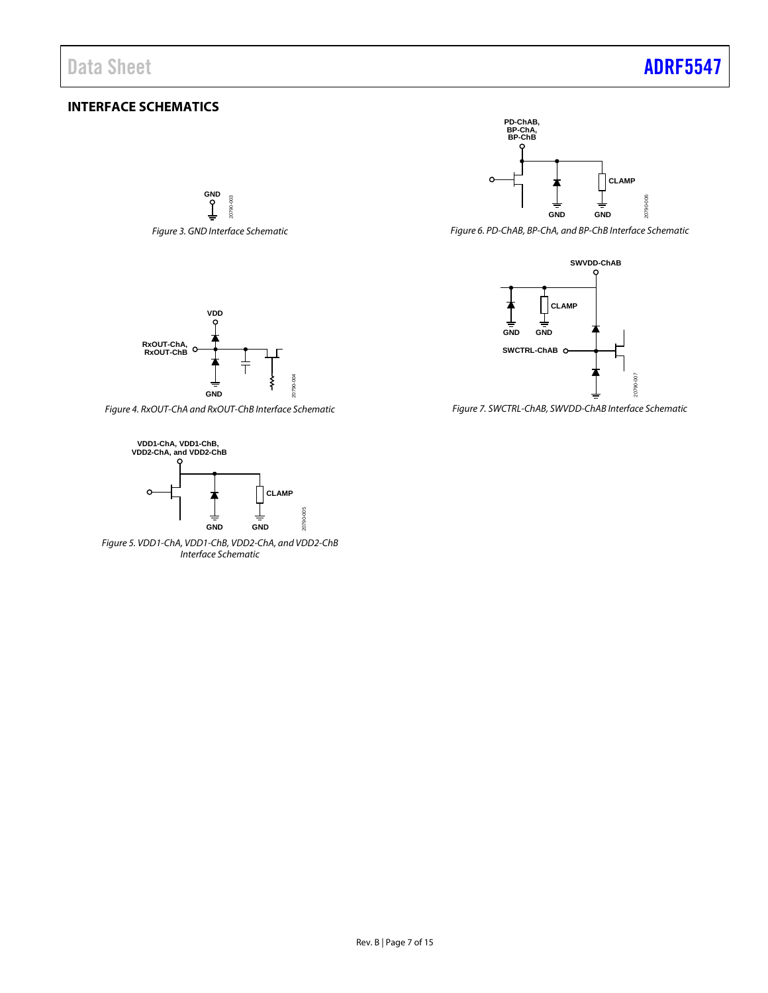### <span id="page-6-0"></span>**INTERFACE SCHEMATICS**

<span id="page-6-1"></span>**GND** 20790-003 20790-003 *Figure 3. GND Interface Schematic*



<span id="page-6-5"></span>*Figure 6. PD-ChAB, BP-ChA, and BP-ChB Interface Schematic*



<span id="page-6-2"></span>*Figure 7. SWCTRL-ChAB, SWVDD-ChAB Interface Schematic*



<span id="page-6-4"></span>*Figure 4. RxOUT-ChA and RxOUT-ChB Interface Schematic*



<span id="page-6-3"></span>*Figure 5. VDD1-ChA, VDD1-ChB, VDD2-ChA, and VDD2-ChB Interface Schematic*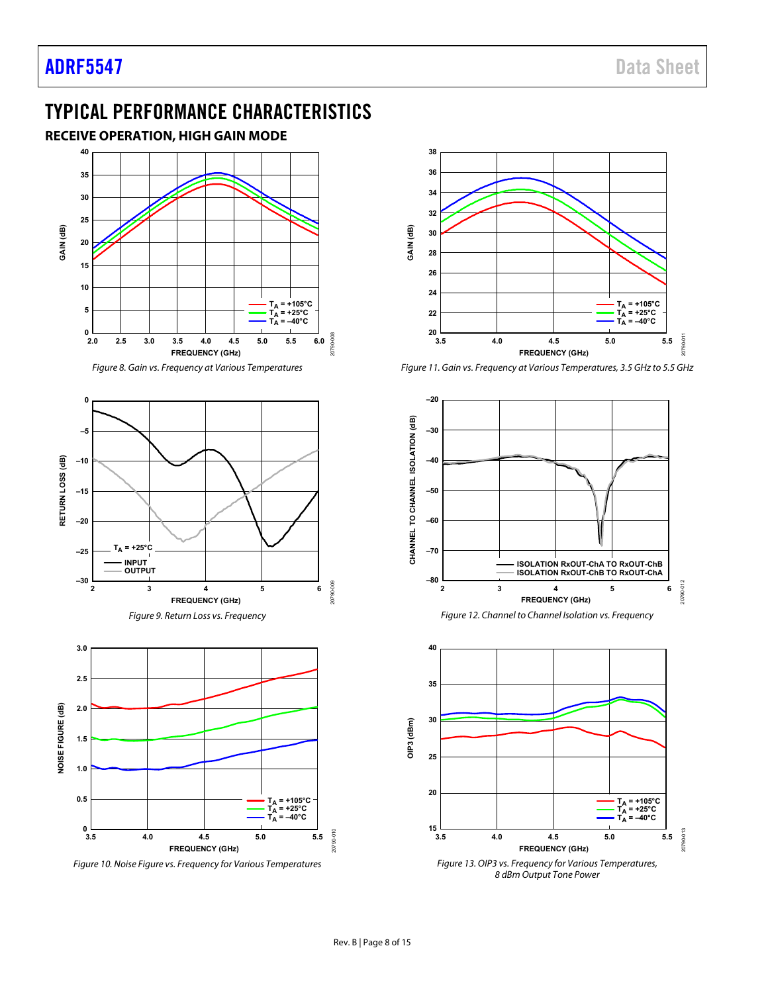### <span id="page-7-0"></span>TYPICAL PERFORMANCE CHARACTERISTICS

<span id="page-7-1"></span>







Figure 10. Noise Figure vs. Frequency for Various Temperatures



Figure 11. Gain vs. Frequency at Various Temperatures, 3.5 GHz to 5.5 GHz









20790-010

0790-010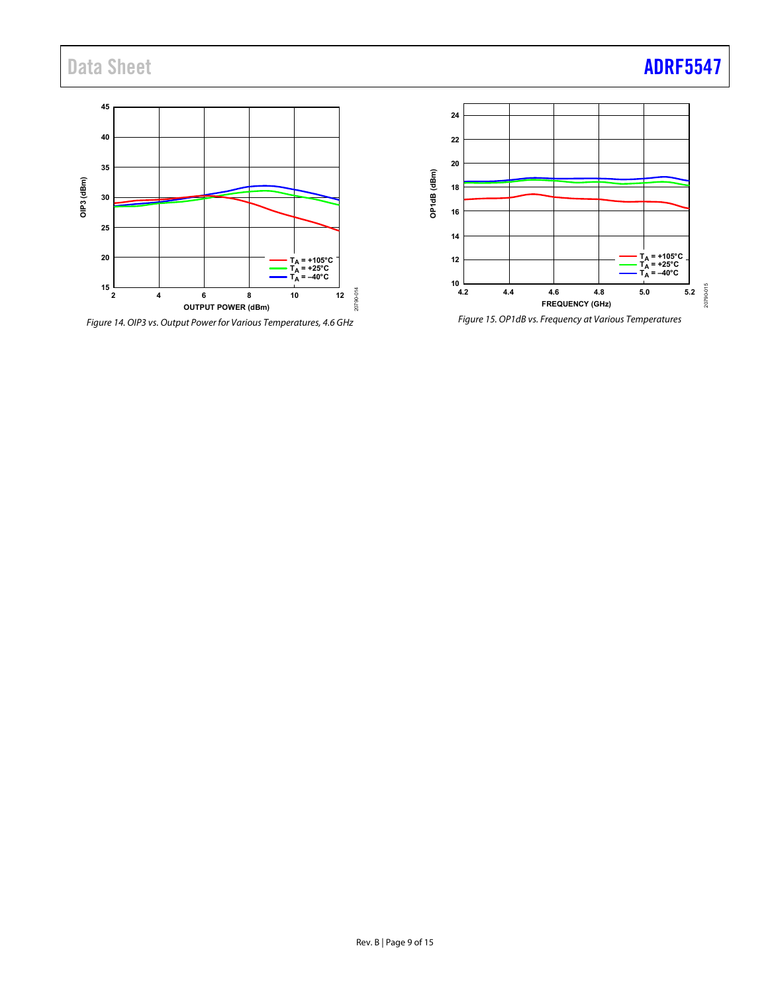Data Sheet **[ADRF5547](http://www.analog.com/adrf5547)** 



Figure 14. OIP3 vs. Output Power for Various Temperatures, 4.6 GHz



Figure 15. OP1dB vs. Frequency at Various Temperatures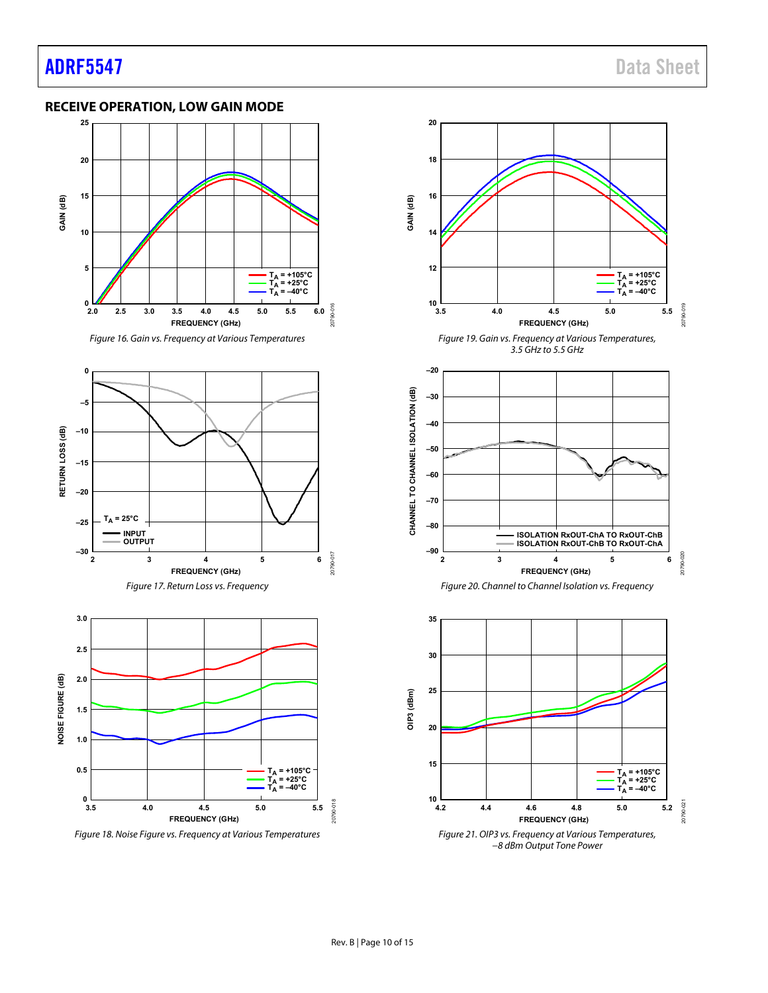#### <span id="page-9-0"></span>**RECEIVE OPERATION, LOW GAIN MODE**







Figure 18. Noise Figure vs. Frequency at Various Temperatures



Figure 21. OIP3 vs. Frequency at Various Temperatures, −8 dBm Output Tone Power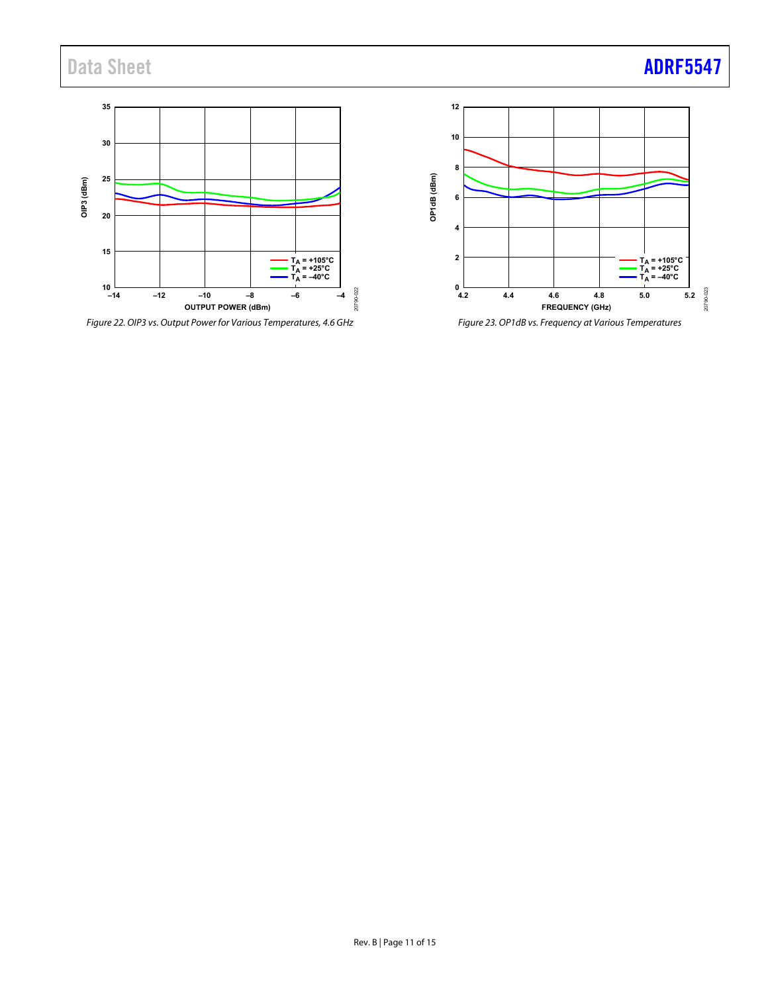Data Sheet **[ADRF5547](http://www.analog.com/adrf5547)** 



Figure 22. OIP3 vs. Output Power for Various Temperatures, 4.6 GHz



Figure 23. OP1dB vs. Frequency at Various Temperatures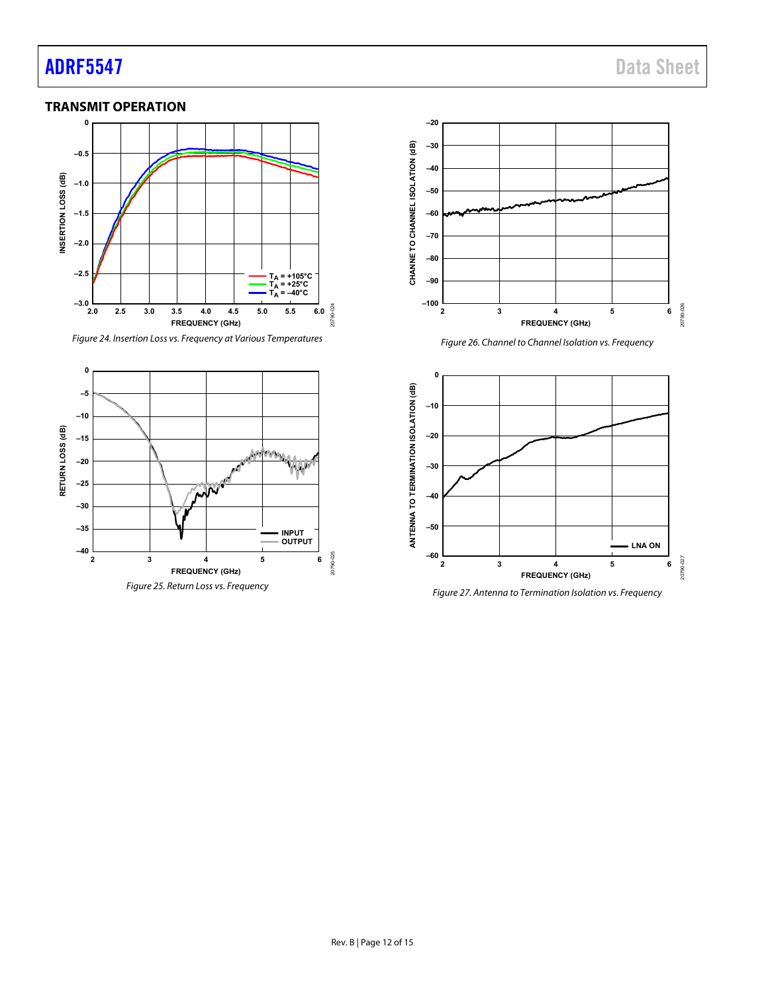## [ADRF5547](http://www.analog.com/adrf5547) Data Sheet

#### <span id="page-11-0"></span>**TRANSMIT OPERATION**



Figure 24. Insertion Loss vs. Frequency at Various Temperatures





Figure 26. Channel to Channel Isolation vs. Frequency



Figure 27. Antenna to Termination Isolation vs. Frequency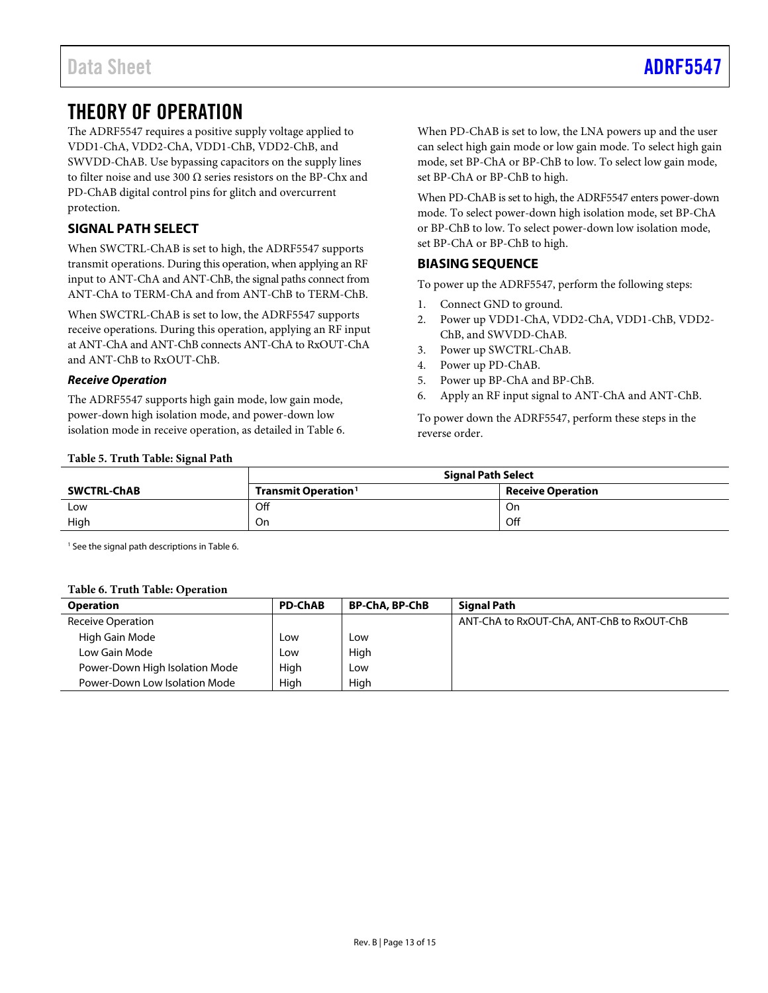### <span id="page-12-0"></span>THEORY OF OPERATION

The ADRF5547 requires a positive supply voltage applied to VDD1-ChA, VDD2-ChA, VDD1-ChB, VDD2-ChB, and SWVDD-ChAB. Use bypassing capacitors on the supply lines to filter noise and use 300 Ω series resistors on the BP-Chx and PD-ChAB digital control pins for glitch and overcurrent protection.

### <span id="page-12-1"></span>**SIGNAL PATH SELECT**

When SWCTRL-ChAB is set to high, the ADRF5547 supports transmit operations. During this operation, when applying an RF input to ANT-ChA and ANT-ChB, the signal paths connect from ANT-ChA to TERM-ChA and from ANT-ChB to TERM-ChB.

When SWCTRL-ChAB is set to low, the ADRF5547 supports receive operations. During this operation, applying an RF input at ANT-ChA and ANT-ChB connects ANT-ChA to RxOUT-ChA and ANT-ChB to RxOUT-ChB.

#### *Receive Operation*

The ADRF5547 supports high gain mode, low gain mode, power-down high isolation mode, and power-down low isolation mode in receive operation, as detailed in [Table 6.](#page-12-4) When PD-ChAB is set to low, the LNA powers up and the user can select high gain mode or low gain mode. To select high gain mode, set BP-ChA or BP-ChB to low. To select low gain mode, set BP-ChA or BP-ChB to high.

When PD-ChAB is set to high, the ADRF5547 enters power-down mode. To select power-down high isolation mode, set BP-ChA or BP-ChB to low. To select power-down low isolation mode, set BP-ChA or BP-ChB to high.

#### <span id="page-12-2"></span>**BIASING SEQUENCE**

To power up the ADRF5547, perform the following steps:

- 1. Connect GND to ground.
- 2. Power up VDD1-ChA, VDD2-ChA, VDD1-ChB, VDD2- ChB, and SWVDD-ChAB.
- 3. Power up SWCTRL-ChAB.
- 4. Power up PD-ChAB.
- 5. Power up BP-ChA and BP-ChB.
- 6. Apply an RF input signal to ANT-ChA and ANT-ChB.

To power down the ADRF5547, perform these steps in the reverse order.

#### <span id="page-12-3"></span>**Table 5. Truth Table: Signal Path**

|                    | <b>Signal Path Select</b>       |                          |  |
|--------------------|---------------------------------|--------------------------|--|
| <b>SWCTRL-ChAB</b> | Transmit Operation <sup>1</sup> | <b>Receive Operation</b> |  |
| Low                | Off                             | On                       |  |
| High               | On                              | Off                      |  |

<sup>1</sup> See the signal path descriptions in [Table 6.](#page-12-4)

#### <span id="page-12-4"></span>**Table 6. Truth Table: Operation**

| <b>Operation</b>               | <b>PD-ChAB</b> | <b>BP-ChA, BP-ChB</b> | <b>Signal Path</b>                         |
|--------------------------------|----------------|-----------------------|--------------------------------------------|
| <b>Receive Operation</b>       |                |                       | ANT-ChA to RxOUT-ChA, ANT-ChB to RxOUT-ChB |
| High Gain Mode                 | Low            | Low                   |                                            |
| Low Gain Mode                  | Low            | High                  |                                            |
| Power-Down High Isolation Mode | High           | Low                   |                                            |
| Power-Down Low Isolation Mode  | Hiah           | High                  |                                            |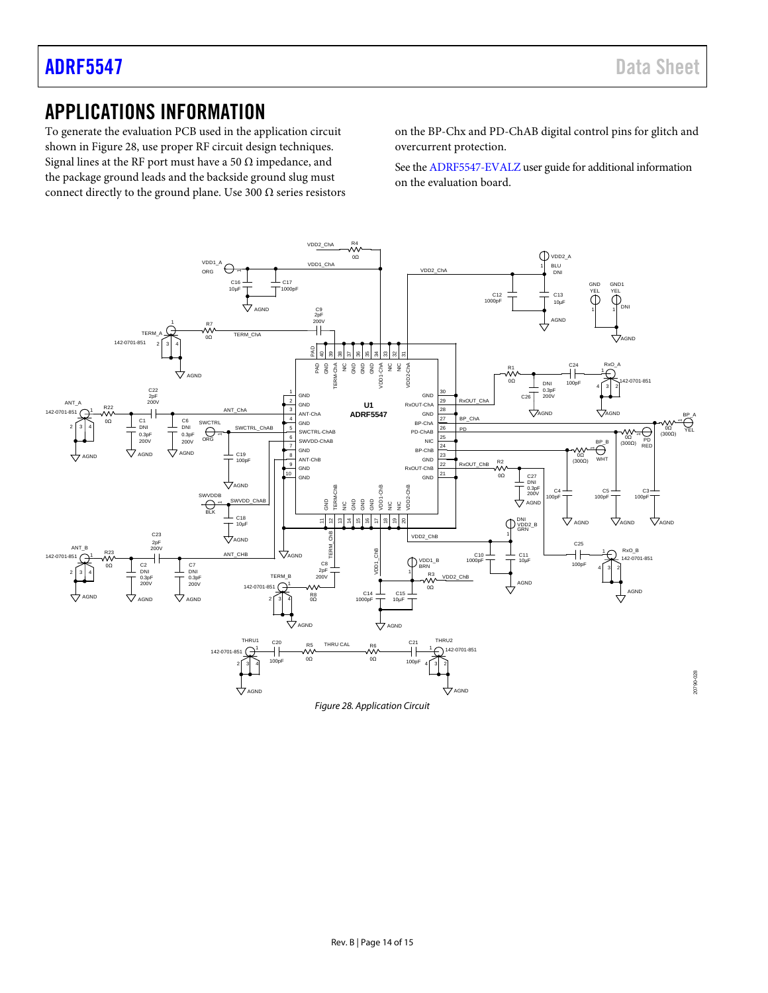### <span id="page-13-0"></span>APPLICATIONS INFORMATION

To generate the evaluation PCB used in the application circuit shown in [Figure 28,](#page-13-1) use proper RF circuit design techniques. Signal lines at the RF port must have a 50  $\Omega$  impedance, and the package ground leads and the backside ground slug must connect directly to the ground plane. Use 300  $\Omega$  series resistors on the BP-Chx and PD-ChAB digital control pins for glitch and overcurrent protection.

See th[e ADRF5547-EVALZ](https://www.analog.com/EVAL-ADRF5547?doc=ADRF5547.pdf) user guide for additional information on the evaluation board.

<span id="page-13-1"></span>